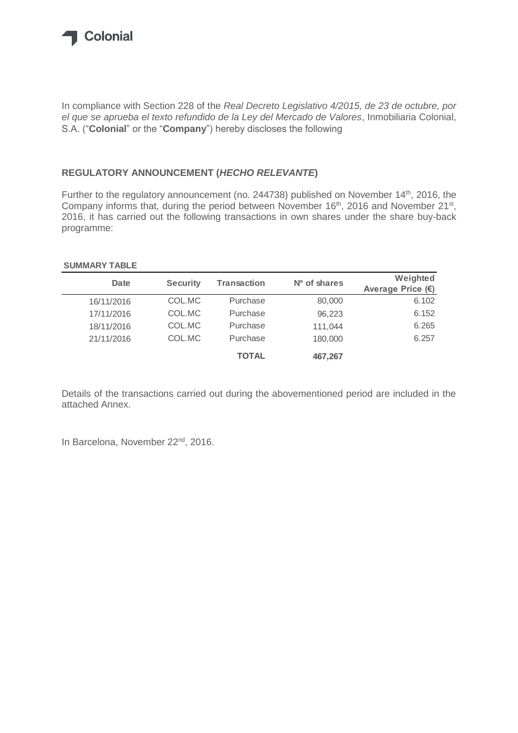

In compliance with Section 228 of the *Real Decreto Legislativo 4/2015, de 23 de octubre, por el que se aprueba el texto refundido de la Ley del Mercado de Valores*, Inmobiliaria Colonial, S.A. ("**Colonial**" or the "**Company**") hereby discloses the following

## **REGULATORY ANNOUNCEMENT (***HECHO RELEVANTE***)**

Further to the regulatory announcement (no. 244738) published on November 14<sup>th</sup>, 2016, the Company informs that, during the period between November 16<sup>th</sup>, 2016 and November 21<sup>st</sup>, 2016, it has carried out the following transactions in own shares under the share buy-back programme:

## **SUMMARY TABLE**

| Date       | <b>Security</b> | <b>Transaction</b> | $No$ of shares | Weighted            |
|------------|-----------------|--------------------|----------------|---------------------|
|            |                 |                    |                | Average Price $(E)$ |
| 16/11/2016 | COL.MC          | Purchase           | 80,000         | 6.102               |
| 17/11/2016 | COL.MC          | Purchase           | 96.223         | 6.152               |
| 18/11/2016 | COL.MC          | Purchase           | 111,044        | 6.265               |
| 21/11/2016 | COL.MC          | Purchase           | 180,000        | 6.257               |
|            |                 | <b>TOTAL</b>       | 467,267        |                     |

Details of the transactions carried out during the abovementioned period are included in the attached Annex.

In Barcelona, November 22<sup>nd</sup>, 2016.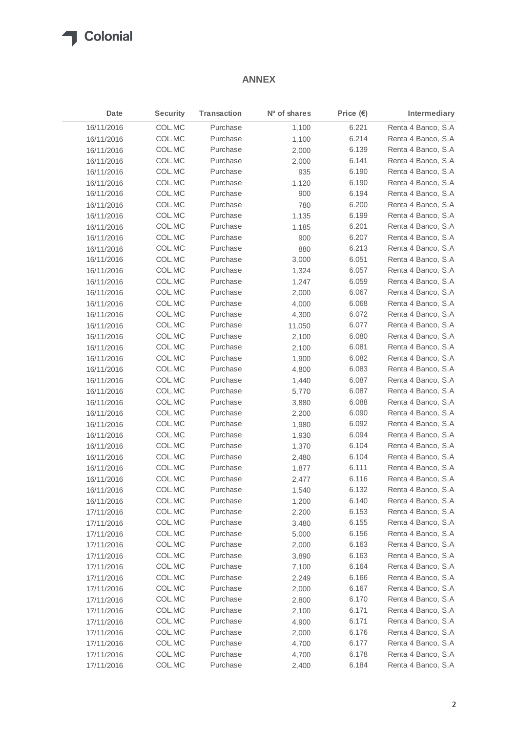## **T** Colonial

## **ANNEX**

| Date       | <b>Security</b> | <b>Transaction</b> | Nº of shares | Price $(\epsilon)$ | Intermediary        |
|------------|-----------------|--------------------|--------------|--------------------|---------------------|
| 16/11/2016 | COL.MC          | Purchase           | 1,100        | 6.221              | Renta 4 Banco, S.A  |
| 16/11/2016 | COL.MC          | Purchase           | 1,100        | 6.214              | Renta 4 Banco, S.A  |
| 16/11/2016 | COL.MC          | Purchase           | 2,000        | 6.139              | Renta 4 Banco, S.A  |
| 16/11/2016 | COL.MC          | Purchase           | 2,000        | 6.141              | Renta 4 Banco, S.A  |
| 16/11/2016 | COL.MC          | Purchase           | 935          | 6.190              | Renta 4 Banco, S.A  |
| 16/11/2016 | COL.MC          | Purchase           | 1,120        | 6.190              | Renta 4 Banco, S.A  |
| 16/11/2016 | COL.MC          | Purchase           | 900          | 6.194              | Renta 4 Banco, S.A  |
| 16/11/2016 | COL.MC          | Purchase           | 780          | 6.200              | Renta 4 Banco, S.A  |
| 16/11/2016 | COL.MC          | Purchase           | 1,135        | 6.199              | Renta 4 Banco, S.A  |
| 16/11/2016 | COL.MC          | Purchase           | 1,185        | 6.201              | Renta 4 Banco, S.A  |
| 16/11/2016 | COL.MC          | Purchase           | 900          | 6.207              | Renta 4 Banco, S.A  |
| 16/11/2016 | COL.MC          | Purchase           | 880          | 6.213              | Renta 4 Banco, S.A  |
| 16/11/2016 | COL.MC          | Purchase           | 3,000        | 6.051              | Renta 4 Banco, S.A  |
| 16/11/2016 | COL.MC          | Purchase           | 1,324        | 6.057              | Renta 4 Banco, S.A  |
| 16/11/2016 | COL.MC          | Purchase           | 1,247        | 6.059              | Renta 4 Banco, S.A  |
| 16/11/2016 | COL.MC          | Purchase           | 2,000        | 6.067              | Renta 4 Banco, S.A  |
| 16/11/2016 | COL.MC          | Purchase           | 4,000        | 6.068              | Renta 4 Banco, S.A  |
| 16/11/2016 | COL.MC          | Purchase           | 4,300        | 6.072              | Renta 4 Banco, S.A  |
| 16/11/2016 | COL.MC          | Purchase           | 11,050       | 6.077              | Renta 4 Banco, S.A. |
| 16/11/2016 | COL.MC          | Purchase           | 2,100        | 6.080              | Renta 4 Banco, S.A  |
| 16/11/2016 | COL.MC          | Purchase           | 2,100        | 6.081              | Renta 4 Banco, S.A  |
| 16/11/2016 | COL.MC          | Purchase           | 1,900        | 6.082              | Renta 4 Banco, S.A  |
| 16/11/2016 | COL.MC          | Purchase           | 4,800        | 6.083              | Renta 4 Banco, S.A  |
| 16/11/2016 | COL.MC          | Purchase           | 1,440        | 6.087              | Renta 4 Banco, S.A  |
| 16/11/2016 | COL.MC          | Purchase           | 5,770        | 6.087              | Renta 4 Banco, S.A  |
| 16/11/2016 | COL.MC          | Purchase           | 3,880        | 6.088              | Renta 4 Banco, S.A  |
| 16/11/2016 | COL.MC          | Purchase           | 2,200        | 6.090              | Renta 4 Banco, S.A  |
| 16/11/2016 | COL.MC          | Purchase           | 1,980        | 6.092              | Renta 4 Banco, S.A  |
| 16/11/2016 | COL.MC          | Purchase           | 1,930        | 6.094              | Renta 4 Banco, S.A  |
| 16/11/2016 | COL.MC          | Purchase           | 1,370        | 6.104              | Renta 4 Banco, S.A  |
| 16/11/2016 | COL.MC          | Purchase           | 2,480        | 6.104              | Renta 4 Banco, S.A  |
| 16/11/2016 | COL.MC          | Purchase           | 1,877        | 6.111              | Renta 4 Banco, S.A  |
| 16/11/2016 | COL.MC          | Purchase           | 2,477        | 6.116              | Renta 4 Banco, S.A  |
| 16/11/2016 | COL.MC          | Purchase           | 1,540        | 6.132              | Renta 4 Banco, S.A  |
| 16/11/2016 | COL.MC          | Purchase           | 1,200        | 6.140              | Renta 4 Banco, S.A  |
| 17/11/2016 | COL.MC          | Purchase           | 2,200        | 6.153              | Renta 4 Banco, S.A  |
| 17/11/2016 | COL.MC          | Purchase           | 3,480        | 6.155              | Renta 4 Banco, S.A  |
| 17/11/2016 | COL.MC          | Purchase           | 5,000        | 6.156              | Renta 4 Banco, S.A  |
| 17/11/2016 | COL.MC          | Purchase           | 2,000        | 6.163              | Renta 4 Banco, S.A  |
| 17/11/2016 | COL.MC          | Purchase           | 3,890        | 6.163              | Renta 4 Banco, S.A  |
| 17/11/2016 | COL.MC          | Purchase           | 7,100        | 6.164              | Renta 4 Banco, S.A  |
| 17/11/2016 | COL.MC          | Purchase           | 2,249        | 6.166              | Renta 4 Banco, S.A  |
| 17/11/2016 | COL.MC          | Purchase           | 2,000        | 6.167              | Renta 4 Banco, S.A  |
| 17/11/2016 | COL.MC          | Purchase           | 2,800        | 6.170              | Renta 4 Banco, S.A  |
| 17/11/2016 | COL.MC          | Purchase           | 2,100        | 6.171              | Renta 4 Banco, S.A  |
| 17/11/2016 | COL.MC          | Purchase           | 4,900        | 6.171              | Renta 4 Banco, S.A  |
| 17/11/2016 | COL.MC          | Purchase           | 2,000        | 6.176              | Renta 4 Banco, S.A  |
| 17/11/2016 | COL.MC          | Purchase           | 4,700        | 6.177              | Renta 4 Banco, S.A  |
| 17/11/2016 | COL.MC          | Purchase           | 4,700        | 6.178              | Renta 4 Banco, S.A  |
| 17/11/2016 | COL.MC          | Purchase           | 2,400        | 6.184              | Renta 4 Banco, S.A  |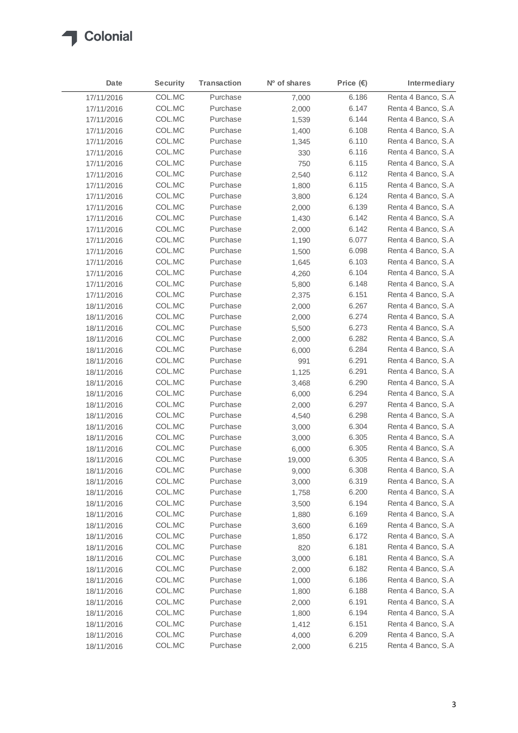

| Date       | <b>Security</b> | <b>Transaction</b> | Nº of shares | Price $(\epsilon)$ | Intermediary        |
|------------|-----------------|--------------------|--------------|--------------------|---------------------|
| 17/11/2016 | COL.MC          | Purchase           | 7,000        | 6.186              | Renta 4 Banco, S.A. |
| 17/11/2016 | COL.MC          | Purchase           | 2,000        | 6.147              | Renta 4 Banco, S.A. |
| 17/11/2016 | COL.MC          | Purchase           | 1,539        | 6.144              | Renta 4 Banco, S.A  |
| 17/11/2016 | COL.MC          | Purchase           | 1,400        | 6.108              | Renta 4 Banco, S.A  |
| 17/11/2016 | COL.MC          | Purchase           | 1,345        | 6.110              | Renta 4 Banco, S.A  |
| 17/11/2016 | COL.MC          | Purchase           | 330          | 6.116              | Renta 4 Banco, S.A  |
| 17/11/2016 | COL.MC          | Purchase           | 750          | 6.115              | Renta 4 Banco, S.A  |
| 17/11/2016 | COL.MC          | Purchase           | 2,540        | 6.112              | Renta 4 Banco, S.A. |
| 17/11/2016 | COL.MC          | Purchase           | 1,800        | 6.115              | Renta 4 Banco, S.A  |
| 17/11/2016 | COL.MC          | Purchase           | 3,800        | 6.124              | Renta 4 Banco, S.A  |
| 17/11/2016 | COL.MC          | Purchase           | 2,000        | 6.139              | Renta 4 Banco, S.A  |
| 17/11/2016 | COL.MC          | Purchase           | 1,430        | 6.142              | Renta 4 Banco, S.A. |
| 17/11/2016 | COL.MC          | Purchase           | 2,000        | 6.142              | Renta 4 Banco, S.A  |
| 17/11/2016 | COL.MC          | Purchase           | 1,190        | 6.077              | Renta 4 Banco, S.A  |
| 17/11/2016 | COL.MC          | Purchase           | 1,500        | 6.098              | Renta 4 Banco, S.A  |
| 17/11/2016 | COL.MC          | Purchase           | 1,645        | 6.103              | Renta 4 Banco, S.A. |
| 17/11/2016 | COL.MC          | Purchase           | 4,260        | 6.104              | Renta 4 Banco, S.A  |
| 17/11/2016 | COL.MC          | Purchase           | 5,800        | 6.148              | Renta 4 Banco, S.A. |
| 17/11/2016 | COL.MC          | Purchase           | 2,375        | 6.151              | Renta 4 Banco, S.A  |
| 18/11/2016 | COL.MC          | Purchase           | 2,000        | 6.267              | Renta 4 Banco, S.A  |
| 18/11/2016 | COL.MC          | Purchase           | 2,000        | 6.274              | Renta 4 Banco, S.A. |
| 18/11/2016 | COL.MC          | Purchase           | 5,500        | 6.273              | Renta 4 Banco, S.A  |
| 18/11/2016 | COL.MC          | Purchase           | 2,000        | 6.282              | Renta 4 Banco, S.A  |
| 18/11/2016 | COL.MC          | Purchase           | 6,000        | 6.284              | Renta 4 Banco, S.A. |
| 18/11/2016 | COL.MC          | Purchase           | 991          | 6.291              | Renta 4 Banco, S.A  |
| 18/11/2016 | COL.MC          | Purchase           | 1,125        | 6.291              | Renta 4 Banco, S.A  |
| 18/11/2016 | COL.MC          | Purchase           | 3,468        | 6.290              | Renta 4 Banco, S.A  |
| 18/11/2016 | COL.MC          | Purchase           | 6,000        | 6.294              | Renta 4 Banco, S.A. |
| 18/11/2016 | COL.MC          | Purchase           | 2,000        | 6.297              | Renta 4 Banco, S.A  |
| 18/11/2016 | COL.MC          | Purchase           | 4,540        | 6.298              | Renta 4 Banco, S.A  |
| 18/11/2016 | COL.MC          | Purchase           | 3,000        | 6.304              | Renta 4 Banco, S.A. |
| 18/11/2016 | COL.MC          | Purchase           | 3,000        | 6.305              | Renta 4 Banco, S.A  |
| 18/11/2016 | COL.MC          | Purchase           | 6,000        | 6.305              | Renta 4 Banco, S.A. |
| 18/11/2016 | COL.MC          | Purchase           | 19,000       | 6.305              | Renta 4 Banco, S.A  |
| 18/11/2016 | COL.MC          | Purchase           | 9,000        | 6.308              | Renta 4 Banco, S.A  |
| 18/11/2016 | COL.MC          | Purchase           | 3,000        | 6.319              | Renta 4 Banco, S.A  |
| 18/11/2016 | COL.MC          | Purchase           | 1,758        | 6.200              | Renta 4 Banco, S.A  |
| 18/11/2016 | COL.MC          | Purchase           | 3,500        | 6.194              | Renta 4 Banco, S.A  |
| 18/11/2016 | COL.MC          | Purchase           | 1,880        | 6.169              | Renta 4 Banco, S.A  |
| 18/11/2016 | COL.MC          | Purchase           | 3,600        | 6.169              | Renta 4 Banco, S.A  |
| 18/11/2016 | COL.MC          | Purchase           | 1,850        | 6.172              | Renta 4 Banco, S.A  |
| 18/11/2016 | COL.MC          | Purchase           | 820          | 6.181              | Renta 4 Banco, S.A  |
| 18/11/2016 | COL.MC          | Purchase           | 3,000        | 6.181              | Renta 4 Banco, S.A  |
| 18/11/2016 | COL.MC          | Purchase           | 2,000        | 6.182              | Renta 4 Banco, S.A  |
| 18/11/2016 | COL.MC          | Purchase           | 1,000        | 6.186              | Renta 4 Banco, S.A  |
| 18/11/2016 | COL.MC          | Purchase           | 1,800        | 6.188              | Renta 4 Banco, S.A. |
| 18/11/2016 | COL.MC          | Purchase           | 2,000        | 6.191              | Renta 4 Banco, S.A  |
| 18/11/2016 | COL.MC          | Purchase           | 1,800        | 6.194              | Renta 4 Banco, S.A  |
| 18/11/2016 | COL.MC          | Purchase           | 1,412        | 6.151              | Renta 4 Banco, S.A  |
| 18/11/2016 | COL.MC          | Purchase           | 4,000        | 6.209              | Renta 4 Banco, S.A  |
| 18/11/2016 | COL.MC          | Purchase           | 2,000        | 6.215              | Renta 4 Banco, S.A  |